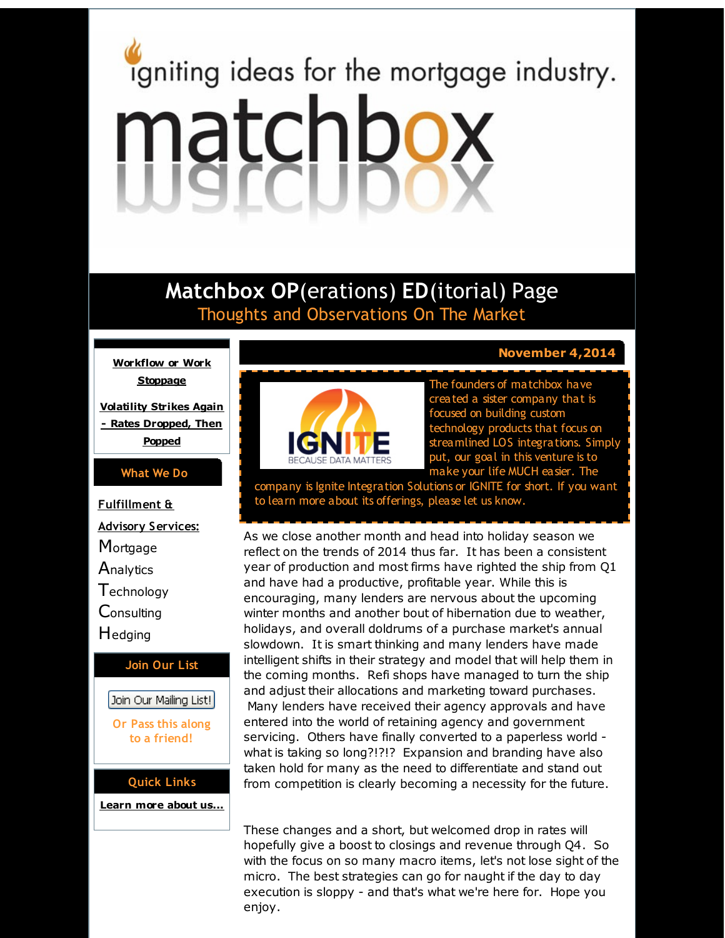# <span id="page-0-0"></span>igniting ideas for the mortgage industry. matchbox

# **Matchbox OP**(erations) **ED**(itorial) Page Thoughts and Observations On The Market

**[Workflow](#page-0-0) or Work Stoppage**

**Volatility Strikes Again - Rates [Dropped,](#page-0-0) Then Popped**

#### **What We Do**

**Fulfillment & Advisory Services: Mortgage Analytics Technology Consulting H**edging **Join Our List**

## Join Our Mailing List!

**Or Pass this along to a friend!**

#### **Quick Links**

**[Learn](http://r20.rs6.net/tn.jsp?f=001xWsrAn64PvFQzAkI5q4Ol9hEry11O6vOJAO_4PHYVwfVOweQjqXuNPo93D6Cj6ep2M3aw4bFXTQAe0Opu91eVNMl52aej0rELipgTNFZQ5wElaTMJsoEFkBnEFe_UctphqmzO9TaqOg_d2aRsq3D5kx2Fz7VQkExopIHpBjlxB-DEMskj5DYjQ==&c=&ch=) more about u[s...](http://r20.rs6.net/tn.jsp?f=001xWsrAn64PvFQzAkI5q4Ol9hEry11O6vOJAO_4PHYVwfVOweQjqXuNPo93D6Cj6ep2M3aw4bFXTQAe0Opu91eVNMl52aej0rELipgTNFZQ5wElaTMJsoEFkBnEFe_UctphqmzO9TaqOg_d2aRsq3D5kx2Fz7VQkExopIHpBjlxB-DEMskj5DYjQ==&c=&ch=)**



. **November 4,2014**

The founders of matchbox have created a sister company that is focused on building custom technology products that focus on streamlined LOS integrations. Simply put, our goal in this venture is to make your life MUCH easier. The

company is Ignite Integration Solutions or IGNITE for short. If you want to learn more about its offerings, please let us know.

As we close another month and head into holiday season we reflect on the trends of 2014 thus far. It has been a consistent year of production and most firms have righted the ship from Q1 and have had a productive, profitable year. While this is encouraging, many lenders are nervous about the upcoming winter months and another bout of hibernation due to weather, holidays, and overall doldrums of a purchase market's annual slowdown. It is smart thinking and many lenders have made intelligent shifts in their strategy and model that will help them in the coming months. Refi shops have managed to turn the ship and adjust their allocations and marketing toward purchases. Many lenders have received their agency approvals and have entered into the world of retaining agency and government servicing. Others have finally converted to a paperless world what is taking so long?!?!? Expansion and branding have also taken hold for many as the need to differentiate and stand out from competition is clearly becoming a necessity for the future.

These changes and a short, but welcomed drop in rates will hopefully give a boost to closings and revenue through Q4. So with the focus on so many macro items, let's not lose sight of the micro. The best strategies can go for naught if the day to day execution is sloppy - and that's what we're here for. Hope you enjoy.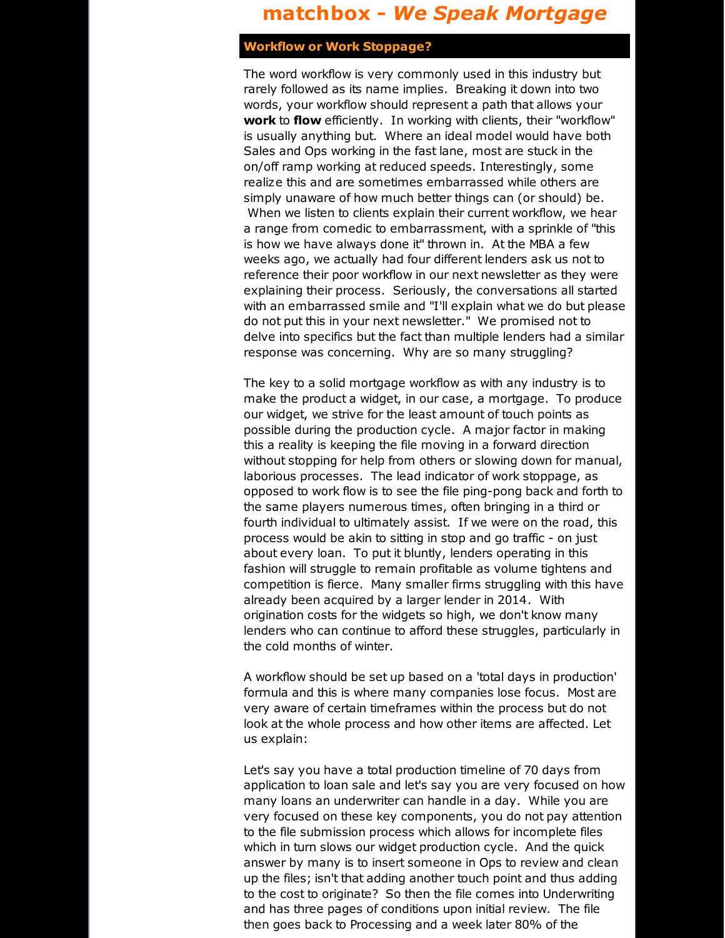# **matchbox -** *We Speak Mortgage*

### **Workflow or Work Stoppage?**

The word workflow is very commonly used in this industry but rarely followed as its name implies. Breaking it down into two words, your workflow should represent a path that allows your **work** to **flow** efficiently. In working with clients, their "workflow" is usually anything but. Where an ideal model would have both Sales and Ops working in the fast lane, most are stuck in the on/off ramp working at reduced speeds. Interestingly, some realize this and are sometimes embarrassed while others are simply unaware of how much better things can (or should) be. When we listen to clients explain their current workflow, we hear a range from comedic to embarrassment, with a sprinkle of "this is how we have always done it" thrown in. At the MBA a few weeks ago, we actually had four different lenders ask us not to reference their poor workflow in our next newsletter as they were explaining their process. Seriously, the conversations all started with an embarrassed smile and "I'll explain what we do but please do not put this in your next newsletter." We promised not to delve into specifics but the fact than multiple lenders had a similar response was concerning. Why are so many struggling?

The key to a solid mortgage workflow as with any industry is to make the product a widget, in our case, a mortgage. To produce our widget, we strive for the least amount of touch points as possible during the production cycle. A major factor in making this a reality is keeping the file moving in a forward direction without stopping for help from others or slowing down for manual, laborious processes. The lead indicator of work stoppage, as opposed to work flow is to see the file ping-pong back and forth to the same players numerous times, often bringing in a third or fourth individual to ultimately assist. If we were on the road, this process would be akin to sitting in stop and go traffic - on just about every loan. To put it bluntly, lenders operating in this fashion will struggle to remain profitable as volume tightens and competition is fierce. Many smaller firms struggling with this have already been acquired by a larger lender in 2014. With origination costs for the widgets so high, we don't know many lenders who can continue to afford these struggles, particularly in the cold months of winter.

A workflow should be set up based on a 'total days in production' formula and this is where many companies lose focus. Most are very aware of certain timeframes within the process but do not look at the whole process and how other items are affected. Let us explain:

Let's say you have a total production timeline of 70 days from application to loan sale and let's say you are very focused on how many loans an underwriter can handle in a day. While you are very focused on these key components, you do not pay attention to the file submission process which allows for incomplete files which in turn slows our widget production cycle. And the quick answer by many is to insert someone in Ops to review and clean up the files; isn't that adding another touch point and thus adding to the cost to originate? So then the file comes into Underwriting and has three pages of conditions upon initial review. The file then goes back to Processing and a week later 80% of the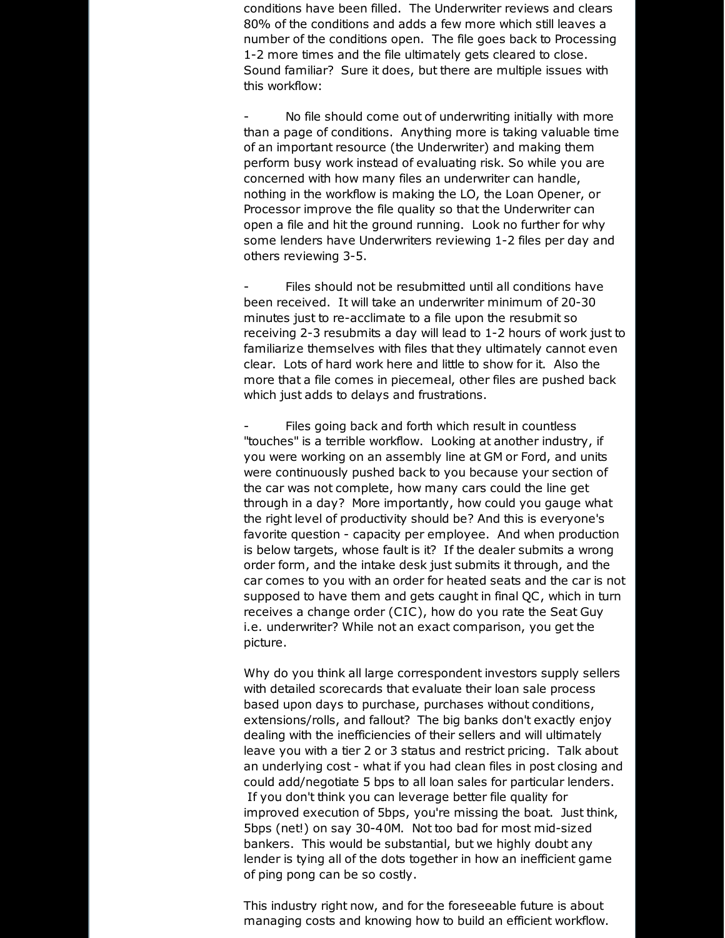conditions have been filled. The Underwriter reviews and clears 80% of the conditions and adds a few more which still leaves a number of the conditions open. The file goes back to Processing 1-2 more times and the file ultimately gets cleared to close. Sound familiar? Sure it does, but there are multiple issues with this workflow:

No file should come out of underwriting initially with more than a page of conditions. Anything more is taking valuable time of an important resource (the Underwriter) and making them perform busy work instead of evaluating risk. So while you are concerned with how many files an underwriter can handle, nothing in the workflow is making the LO, the Loan Opener, or Processor improve the file quality so that the Underwriter can open a file and hit the ground running. Look no further for why some lenders have Underwriters reviewing 1-2 files per day and others reviewing 3-5.

Files should not be resubmitted until all conditions have been received. It will take an underwriter minimum of 20-30 minutes just to re-acclimate to a file upon the resubmit so receiving 2-3 resubmits a day will lead to 1-2 hours of work just to familiarize themselves with files that they ultimately cannot even clear. Lots of hard work here and little to show for it. Also the more that a file comes in piecemeal, other files are pushed back which just adds to delays and frustrations.

Files going back and forth which result in countless "touches" is a terrible workflow. Looking at another industry, if you were working on an assembly line at GM or Ford, and units were continuously pushed back to you because your section of the car was not complete, how many cars could the line get through in a day? More importantly, how could you gauge what the right level of productivity should be? And this is everyone's favorite question - capacity per employee. And when production is below targets, whose fault is it? If the dealer submits a wrong order form, and the intake desk just submits it through, and the car comes to you with an order for heated seats and the car is not supposed to have them and gets caught in final QC, which in turn receives a change order (CIC), how do you rate the Seat Guy i.e. underwriter? While not an exact comparison, you get the picture.

Why do you think all large correspondent investors supply sellers with detailed scorecards that evaluate their loan sale process based upon days to purchase, purchases without conditions, extensions/rolls, and fallout? The big banks don't exactly enjoy dealing with the inefficiencies of their sellers and will ultimately leave you with a tier 2 or 3 status and restrict pricing. Talk about an underlying cost - what if you had clean files in post closing and could add/negotiate 5 bps to all loan sales for particular lenders. If you don't think you can leverage better file quality for improved execution of 5bps, you're missing the boat. Just think, 5bps (net!) on say 30-40M. Not too bad for most mid-sized bankers. This would be substantial, but we highly doubt any lender is tying all of the dots together in how an inefficient game of ping pong can be so costly.

This industry right now, and for the foreseeable future is about managing costs and knowing how to build an efficient workflow.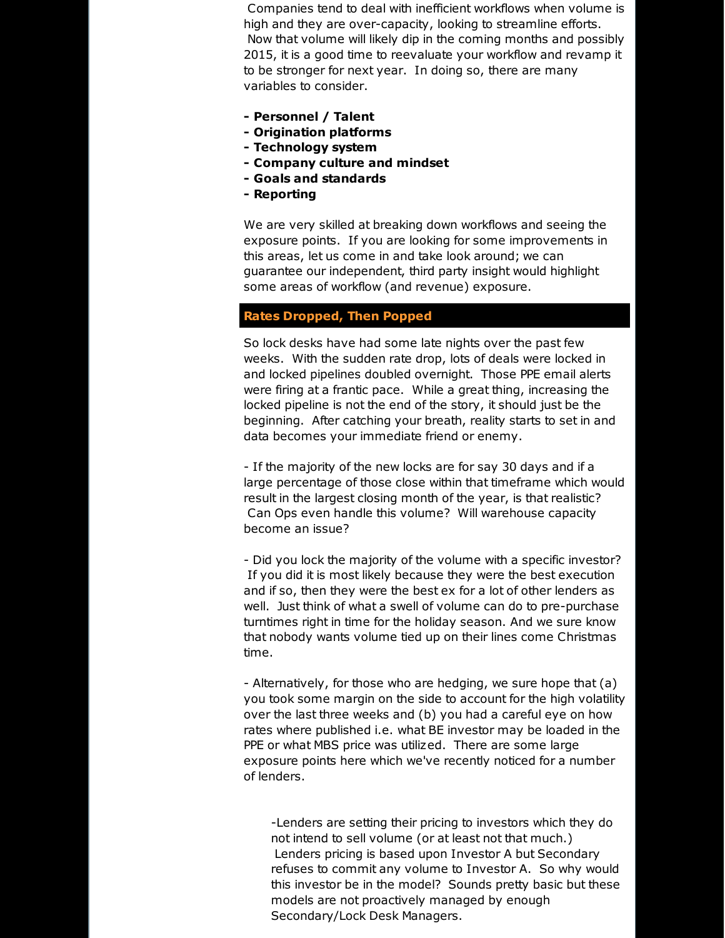Companies tend to deal with inefficient workflows when volume is high and they are over-capacity, looking to streamline efforts. Now that volume will likely dip in the coming months and possibly 2015, it is a good time to reevaluate your workflow and revamp it to be stronger for next year. In doing so, there are many variables to consider.

- **- Personnel / Talent**
- **- Origination platforms**
- **- Technology system**
- **- Company culture and mindset**
- **- Goals and standards**
- **- Reporting**

We are very skilled at breaking down workflows and seeing the exposure points. If you are looking for some improvements in this areas, let us come in and take look around; we can guarantee our independent, third party insight would highlight some areas of workflow (and revenue) exposure.

#### **Rates Dropped, Then Popped**

So lock desks have had some late nights over the past few weeks. With the sudden rate drop, lots of deals were locked in and locked pipelines doubled overnight. Those PPE email alerts were firing at a frantic pace. While a great thing, increasing the locked pipeline is not the end of the story, it should just be the beginning. After catching your breath, reality starts to set in and data becomes your immediate friend or enemy.

- If the majority of the new locks are for say 30 days and if a large percentage of those close within that timeframe which would result in the largest closing month of the year, is that realistic? Can Ops even handle this volume? Will warehouse capacity become an issue?

- Did you lock the majority of the volume with a specific investor? If you did it is most likely because they were the best execution and if so, then they were the best ex for a lot of other lenders as well. Just think of what a swell of volume can do to pre-purchase turntimes right in time for the holiday season. And we sure know that nobody wants volume tied up on their lines come Christmas time.

- Alternatively, for those who are hedging, we sure hope that (a) you took some margin on the side to account for the high volatility over the last three weeks and (b) you had a careful eye on how rates where published i.e. what BE investor may be loaded in the PPE or what MBS price was utilized. There are some large exposure points here which we've recently noticed for a number of lenders.

-Lenders are setting their pricing to investors which they do not intend to sell volume (or at least not that much.) Lenders pricing is based upon Investor A but Secondary refuses to commit any volume to Investor A. So why would this investor be in the model? Sounds pretty basic but these models are not proactively managed by enough Secondary/Lock Desk Managers.